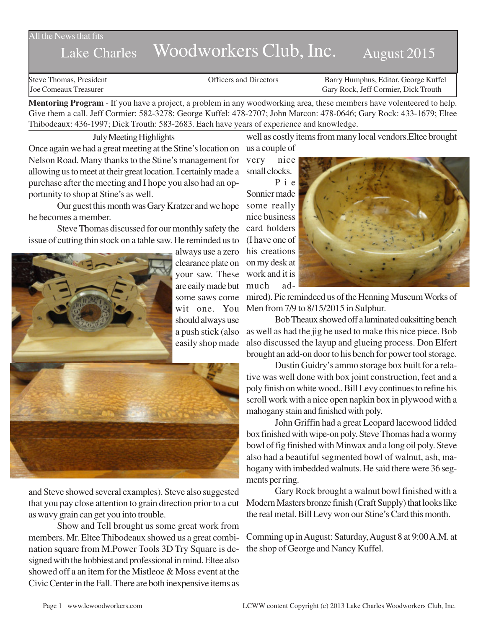## All the News that fits

# Lake Charles Woodworkers Club, Inc. August 2015

Steve Thomas, President **State Concrete Concrete Concrete Concrete Concrete Concrete Concrete Concrete Concrete Concrete Concrete Concrete Concrete Concrete Concrete Concrete Concrete Concrete Concrete Concrete Concrete Co** Joe Comeaux Treasurer Gary Rock, Jeff Cormier, Dick Trouth

**Mentoring Program** - If you have a project, a problem in any woodworking area, these members have volenteered to help. Give them a call. Jeff Cormier: 582-3278; George Kuffel: 478-2707; John Marcon: 478-0646; Gary Rock: 433-1679; Eltee Thibodeaux: 436-1997; Dick Trouth: 583-2683. Each have years of experience and knowledge.

July Meeting Highlights

Once again we had a great meeting at the Stine's location on us a couple of Nelson Road. Many thanks to the Stine's management for allowing us to meet at their great location. I certainly made a purchase after the meeting and I hope you also had an opportunity to shop at Stine's as well.

Our guest this month was Gary Kratzer and we hope he becomes a member.

Steve Thomas discussed for our monthly safety the issue of cutting thin stock on a table saw. He reminded us to



and Steve showed several examples). Steve also suggested that you pay close attention to grain direction prior to a cut as wavy grain can get you into trouble.

Show and Tell brought us some great work from members. Mr. Eltee Thibodeaux showed us a great combination square from M.Power Tools 3D Try Square is designed with the hobbiest and professional in mind. Eltee also showed off a an item for the Mistleoe & Moss event at the Civic Center in the Fall. There are both inexpensive items as well as costly items from many local vendors.Eltee brought

very nice small clocks.

Pie Sonnier made some really nice business card holders (I have one of his creations work and it is much ad-



mired). Pie remindeed us of the Henning Museum Works of Men from 7/9 to 8/15/2015 in Sulphur.

Bob Theaux showed off a laminated oaksitting bench as well as had the jig he used to make this nice piece. Bob also discussed the layup and glueing process. Don Elfert brought an add-on door to his bench for power tool storage.

Dustin Guidry's ammo storage box built for a relative was well done with box joint construction, feet and a poly finish on white wood.. Bill Levy continues to refine his scroll work with a nice open napkin box in plywood with a mahogany stain and finished with poly.

John Griffin had a great Leopard lacewood lidded box finished with wipe-on poly. Steve Thomas had a wormy bowl of fig finished with Minwax and a long oil poly. Steve also had a beautiful segmented bowl of walnut, ash, mahogany with imbedded walnuts. He said there were 36 segments per ring.

Gary Rock brought a walnut bowl finished with a Modern Masters bronze finish (Craft Supply) that looks like the real metal. Bill Levy won our Stine's Card this month.

Comming up in August: Saturday, August 8 at 9:00 A.M. at the shop of George and Nancy Kuffel.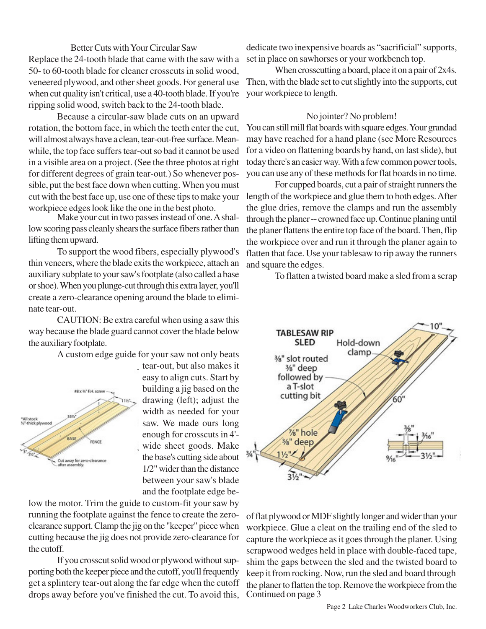Better Cuts with Your Circular Saw Replace the 24-tooth blade that came with the saw with a 50- to 60-tooth blade for cleaner crosscuts in solid wood, veneered plywood, and other sheet goods. For general use when cut quality isn't critical, use a 40-tooth blade. If you're ripping solid wood, switch back to the 24-tooth blade.

Because a circular-saw blade cuts on an upward rotation, the bottom face, in which the teeth enter the cut, will almost always have a clean, tear-out-free surface. Meanwhile, the top face suffers tear-out so bad it cannot be used in a visible area on a project. (See the three photos at right for different degrees of grain tear-out.) So whenever possible, put the best face down when cutting. When you must cut with the best face up, use one of these tips to make your workpiece edges look like the one in the best photo.

Make your cut in two passes instead of one. A shallow scoring pass cleanly shears the surface fibers rather than lifting them upward.

To support the wood fibers, especially plywood's thin veneers, where the blade exits the workpiece, attach an auxiliary subplate to your saw's footplate (also called a base or shoe). When you plunge-cut through this extra layer, you'll create a zero-clearance opening around the blade to eliminate tear-out.

CAUTION: Be extra careful when using a saw this way because the blade guard cannot cover the blade below the auxiliary footplate.

A custom edge guide for your saw not only beats



tear-out, but also makes it easy to align cuts. Start by building a jig based on the drawing (left); adjust the width as needed for your saw. We made ours long enough for crosscuts in 4' wide sheet goods. Make the base's cutting side about 1/2" wider than the distance between your saw's blade and the footplate edge be-

low the motor. Trim the guide to custom-fit your saw by running the footplate against the fence to create the zeroclearance support. Clamp the jig on the "keeper" piece when cutting because the jig does not provide zero-clearance for the cutoff.

If you crosscut solid wood or plywood without supporting both the keeper piece and the cutoff, you'll frequently get a splintery tear-out along the far edge when the cutoff drops away before you've finished the cut. To avoid this,

dedicate two inexpensive boards as "sacrificial" supports, set in place on sawhorses or your workbench top.

When crosscutting a board, place it on a pair of 2x4s. Then, with the blade set to cut slightly into the supports, cut your workpiece to length.

#### No jointer? No problem!

You can still mill flat boards with square edges. Your grandad may have reached for a hand plane (see More Resources for a video on flattening boards by hand, on last slide), but today there's an easier way. With a few common power tools, you can use any of these methods for flat boards in no time.

For cupped boards, cut a pair of straight runners the length of the workpiece and glue them to both edges. After the glue dries, remove the clamps and run the assembly through the planer -- crowned face up. Continue planing until the planer flattens the entire top face of the board. Then, flip the workpiece over and run it through the planer again to flatten that face. Use your tablesaw to rip away the runners and square the edges.

To flatten a twisted board make a sled from a scrap



of flat plywood or MDF slightly longer and wider than your workpiece. Glue a cleat on the trailing end of the sled to capture the workpiece as it goes through the planer. Using scrapwood wedges held in place with double-faced tape, shim the gaps between the sled and the twisted board to keep it from rocking. Now, run the sled and board through the planer to flatten the top. Remove the workpiece from the Continued on page 3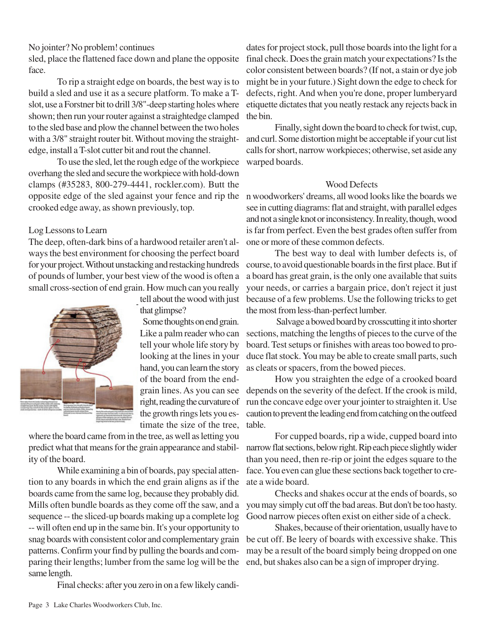No jointer? No problem! continues

sled, place the flattened face down and plane the opposite face.

To rip a straight edge on boards, the best way is to build a sled and use it as a secure platform. To make a Tslot, use a Forstner bit to drill 3/8"-deep starting holes where shown; then run your router against a straightedge clamped to the sled base and plow the channel between the two holes with a 3/8" straight router bit. Without moving the straightedge, install a T-slot cutter bit and rout the channel.

To use the sled, let the rough edge of the workpiece overhang the sled and secure the workpiece with hold-down clamps (#35283, 800-279-4441, rockler.com). Butt the opposite edge of the sled against your fence and rip the n woodworkers' dreams, all wood looks like the boards we crooked edge away, as shown previously, top.

## Log Lessons to Learn

The deep, often-dark bins of a hardwood retailer aren't always the best environment for choosing the perfect board for your project. Without unstacking and restacking hundreds of pounds of lumber, your best view of the wood is often a small cross-section of end grain. How much can you really



tell about the wood with just that glimpse?

Some thoughts on end grain. Like a palm reader who can tell your whole life story by looking at the lines in your hand, you can learn the story of the board from the endgrain lines. As you can see right, reading the curvature of the growth rings lets you estimate the size of the tree,

where the board came from in the tree, as well as letting you predict what that means for the grain appearance and stability of the board.

While examining a bin of boards, pay special attention to any boards in which the end grain aligns as if the boards came from the same log, because they probably did. Mills often bundle boards as they come off the saw, and a sequence -- the sliced-up boards making up a complete log -- will often end up in the same bin. It's your opportunity to snag boards with consistent color and complementary grain patterns. Confirm your find by pulling the boards and comparing their lengths; lumber from the same log will be the same length.

Final checks: after you zero in on a few likely candi-

dates for project stock, pull those boards into the light for a final check. Does the grain match your expectations? Is the color consistent between boards? (If not, a stain or dye job might be in your future.) Sight down the edge to check for defects, right. And when you're done, proper lumberyard etiquette dictates that you neatly restack any rejects back in the bin.

Finally, sight down the board to check for twist, cup, and curl. Some distortion might be acceptable if your cut list calls for short, narrow workpieces; otherwise, set aside any warped boards.

## Wood Defects

see in cutting diagrams: flat and straight, with parallel edges and not a single knot or inconsistency. In reality, though, wood is far from perfect. Even the best grades often suffer from one or more of these common defects.

The best way to deal with lumber defects is, of course, to avoid questionable boards in the first place. But if a board has great grain, is the only one available that suits your needs, or carries a bargain price, don't reject it just because of a few problems. Use the following tricks to get the most from less-than-perfect lumber.

 Salvage a bowed board by crosscutting it into shorter sections, matching the lengths of pieces to the curve of the board. Test setups or finishes with areas too bowed to produce flat stock. You may be able to create small parts, such as cleats or spacers, from the bowed pieces.

How you straighten the edge of a crooked board depends on the severity of the defect. If the crook is mild, run the concave edge over your jointer to straighten it. Use caution to prevent the leading end from catching on the outfeed table.

For cupped boards, rip a wide, cupped board into narrow flat sections, below right. Rip each piece slightly wider than you need, then re-rip or joint the edges square to the face. You even can glue these sections back together to create a wide board.

Checks and shakes occur at the ends of boards, so you may simply cut off the bad areas. But don't be too hasty. Good narrow pieces often exist on either side of a check.

Shakes, because of their orientation, usually have to be cut off. Be leery of boards with excessive shake. This may be a result of the board simply being dropped on one end, but shakes also can be a sign of improper drying.